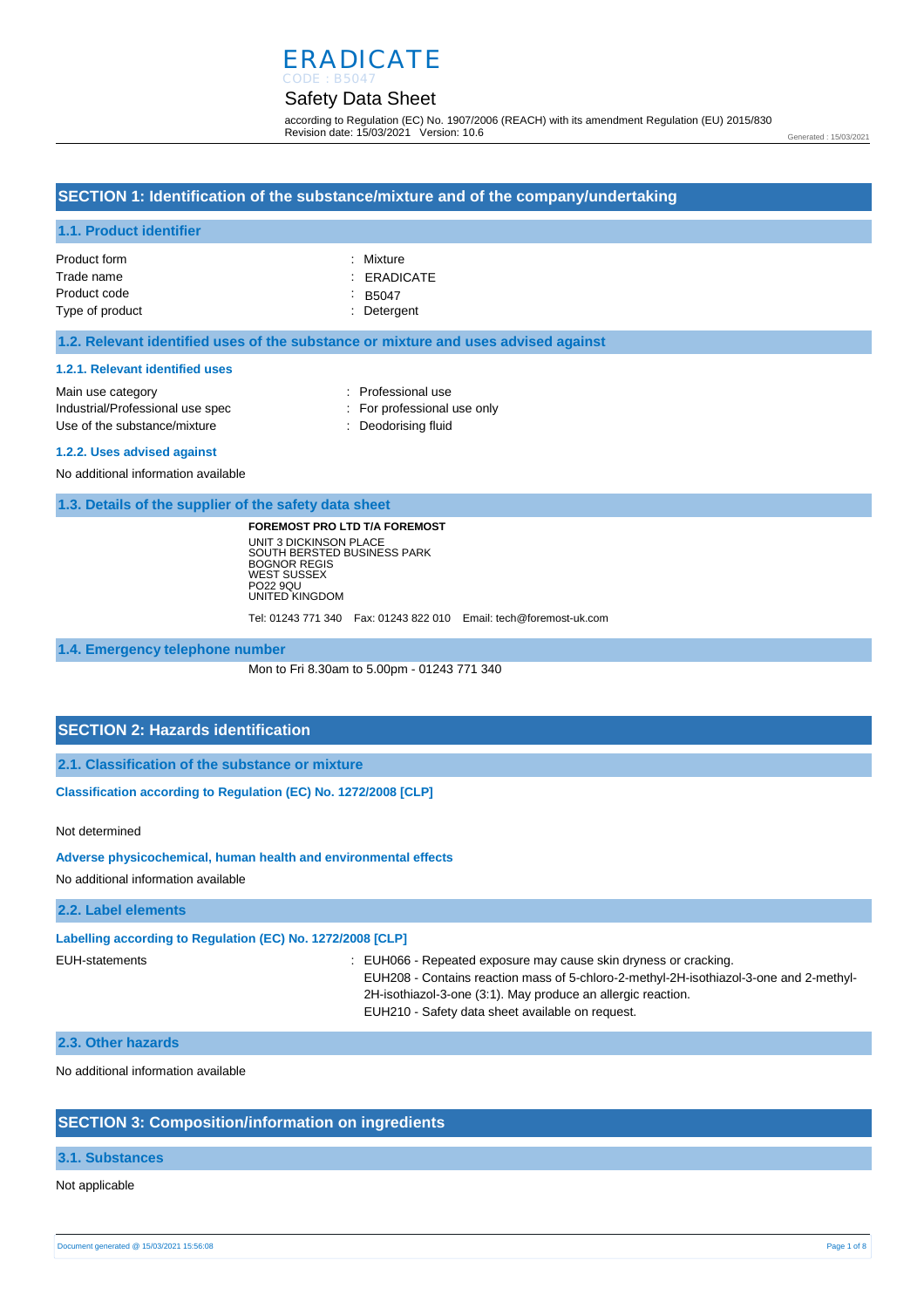## ERADICATE CODE : B5047

## Safety Data Sheet

according to Regulation (EC) No. 1907/2006 (REACH) with its amendment Regulation (EU) 2015/830 Revision date: 15/03/2021 Version: 10.6

Generated : 15/03/2021

### **SECTION 1: Identification of the substance/mixture and of the company/undertaking**

### **1.1. Product identifier**

| Product form    | : Mixture     |
|-----------------|---------------|
| Trade name      | : ERADICATE   |
| Product code    | $\cdot$ B5047 |
| Type of product | : Detergent   |

#### **1.2. Relevant identified uses of the substance or mixture and uses advised against**

#### **1.2.1. Relevant identified uses**

| Main use category                | : Professional use          |
|----------------------------------|-----------------------------|
| Industrial/Professional use spec | : For professional use only |
| Use of the substance/mixture     | : Deodorising fluid         |
|                                  |                             |

#### **1.2.2. Uses advised against**

No additional information available

**1.3. Details of the supplier of the safety data sheet**

**FOREMOST PRO LTD T/A FOREMOST** UNIT 3 DICKINSON PLACE SOUTH BERSTED BUSINESS PARK BOGNOR REGIS WEST SUSSEX PO22 9QU UNITED KINGDOM

Tel: 01243 771 340 Fax: 01243 822 010 Email: tech@foremost-uk.com

**1.4. Emergency telephone number**

Mon to Fri 8.30am to 5.00pm - 01243 771 340

### **SECTION 2: Hazards identification**

**2.1. Classification of the substance or mixture**

**Classification according to Regulation (EC) No. 1272/2008 [CLP]** 

Not determined

**Adverse physicochemical, human health and environmental effects** 

No additional information available

#### **2.2. Label elements**

**Labelling according to Regulation (EC) No. 1272/2008 [CLP]** 

EUH-statements : EUH066 - Repeated exposure may cause skin dryness or cracking. EUH208 - Contains reaction mass of 5-chloro-2-methyl-2H-isothiazol-3-one and 2-methyl-2H-isothiazol-3-one (3:1). May produce an allergic reaction. EUH210 - Safety data sheet available on request.

#### **2.3. Other hazards**

No additional information available

### **SECTION 3: Composition/information on ingredients**

#### **3.1. Substances**

Not applicable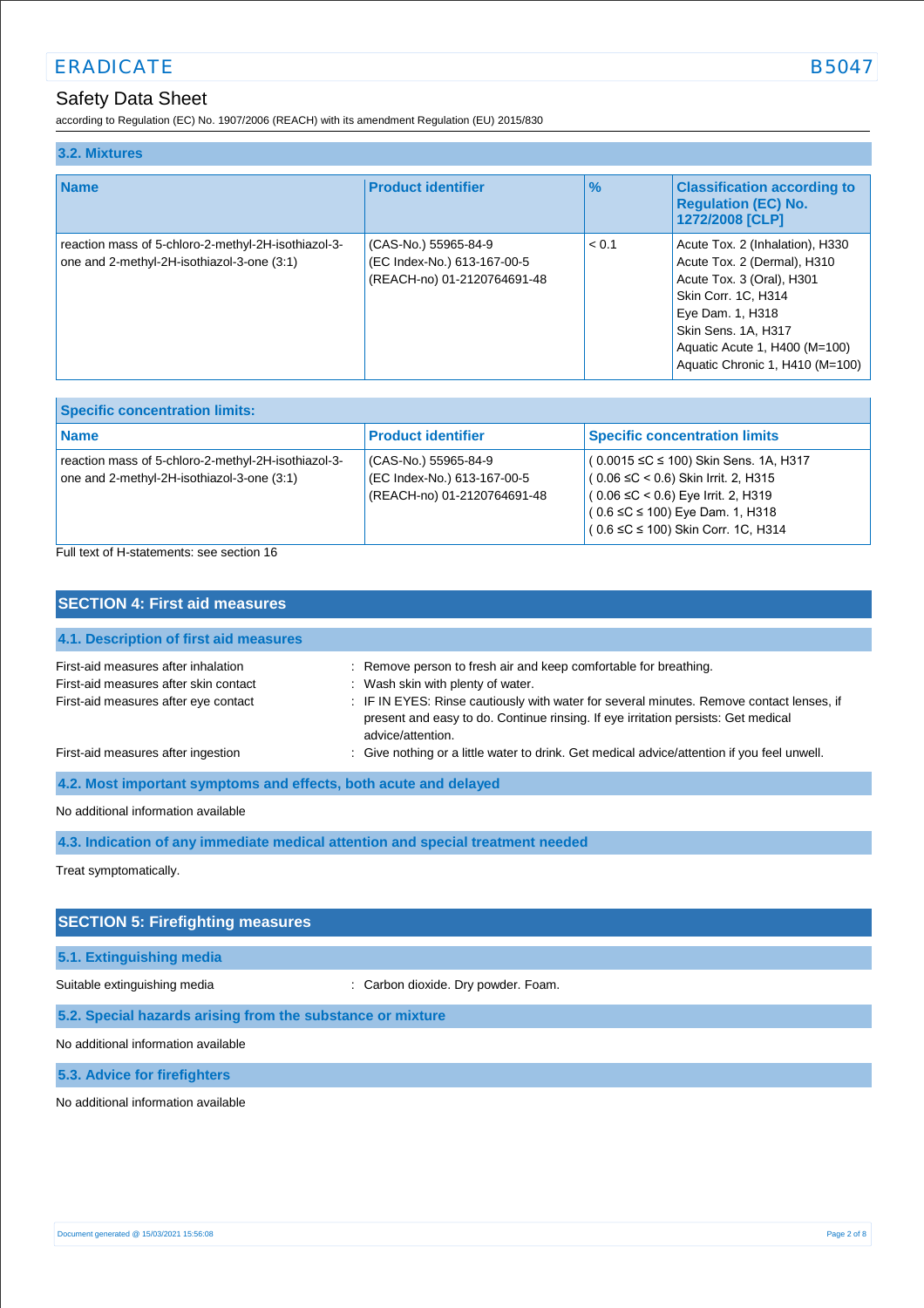# ERADICATE SERVICE SERVICE SERVICE SERVICE SERVICE SERVICE SERVICE SERVICE SERVICE SERVICE SERVICE SERVICE SERVICE SERVICE SERVICE SERVICE SERVICE SERVICE SERVICE SERVICE SERVICE SERVICE SERVICE SERVICE SERVICE SERVICE SERV

## Safety Data Sheet

according to Regulation (EC) No. 1907/2006 (REACH) with its amendment Regulation (EU) 2015/830

| 3.2. Mixtures                                                                                     |                                                                                    |               |                                                                                                                                                                                                                                          |
|---------------------------------------------------------------------------------------------------|------------------------------------------------------------------------------------|---------------|------------------------------------------------------------------------------------------------------------------------------------------------------------------------------------------------------------------------------------------|
| <b>Name</b>                                                                                       | <b>Product identifier</b>                                                          | $\frac{9}{6}$ | <b>Classification according to</b><br><b>Regulation (EC) No.</b><br>1272/2008 [CLP]                                                                                                                                                      |
| reaction mass of 5-chloro-2-methyl-2H-isothiazol-3-<br>one and 2-methyl-2H-isothiazol-3-one (3:1) | (CAS-No.) 55965-84-9<br>(EC Index-No.) 613-167-00-5<br>(REACH-no) 01-2120764691-48 | < 0.1         | Acute Tox. 2 (Inhalation), H330<br>Acute Tox. 2 (Dermal), H310<br>Acute Tox. 3 (Oral), H301<br><b>Skin Corr. 1C. H314</b><br>Eye Dam. 1, H318<br>Skin Sens. 1A, H317<br>Aquatic Acute 1, H400 (M=100)<br>Aquatic Chronic 1, H410 (M=100) |

| <b>Specific concentration limits:</b>                                                               |                                                                                    |                                                                                                                                                                                                                        |
|-----------------------------------------------------------------------------------------------------|------------------------------------------------------------------------------------|------------------------------------------------------------------------------------------------------------------------------------------------------------------------------------------------------------------------|
| <b>Name</b>                                                                                         | <b>Product identifier</b>                                                          | <b>Specific concentration limits</b>                                                                                                                                                                                   |
| reaction mass of 5-chloro-2-methyl-2H-isothiazol-3-<br>one and 2-methyl-2H-isothiazol-3-one $(3:1)$ | (CAS-No.) 55965-84-9<br>(EC Index-No.) 613-167-00-5<br>(REACH-no) 01-2120764691-48 | $(0.0015 \leq C \leq 100)$ Skin Sens. 1A, H317<br>$(0.06 ≤ C < 0.6)$ Skin Irrit. 2, H315<br>$(0.06 ≤ C < 0.6)$ Eye Irrit. 2, H319<br>$(0.6 \leq C \leq 100)$ Eye Dam. 1, H318<br>$(0.6 ≤ C ≤ 100)$ Skin Corr. 1C, H314 |

Full text of H-statements: see section 16

| <b>SECTION 4: First aid measures</b>                                                                                 |                                                                                                                                                                                                    |
|----------------------------------------------------------------------------------------------------------------------|----------------------------------------------------------------------------------------------------------------------------------------------------------------------------------------------------|
| 4.1. Description of first aid measures                                                                               |                                                                                                                                                                                                    |
| First-aid measures after inhalation<br>First-aid measures after skin contact<br>First-aid measures after eye contact | : Remove person to fresh air and keep comfortable for breathing.<br>: Wash skin with plenty of water.                                                                                              |
|                                                                                                                      | : IF IN EYES: Rinse cautiously with water for several minutes. Remove contact lenses, if<br>present and easy to do. Continue rinsing. If eye irritation persists: Get medical<br>advice/attention. |
| First-aid measures after ingestion                                                                                   | : Give nothing or a little water to drink. Get medical advice/attention if you feel unwell.                                                                                                        |
| 4.2. Most important symptoms and effects, both acute and delayed                                                     |                                                                                                                                                                                                    |
| No additional information available                                                                                  |                                                                                                                                                                                                    |

**4.3. Indication of any immediate medical attention and special treatment needed**

Treat symptomatically.

## **SECTION 5: Firefighting measures**

### **5.1. Extinguishing media**

Suitable extinguishing media : Carbon dioxide. Dry powder. Foam.

#### **5.2. Special hazards arising from the substance or mixture**

No additional information available

**5.3. Advice for firefighters**

No additional information available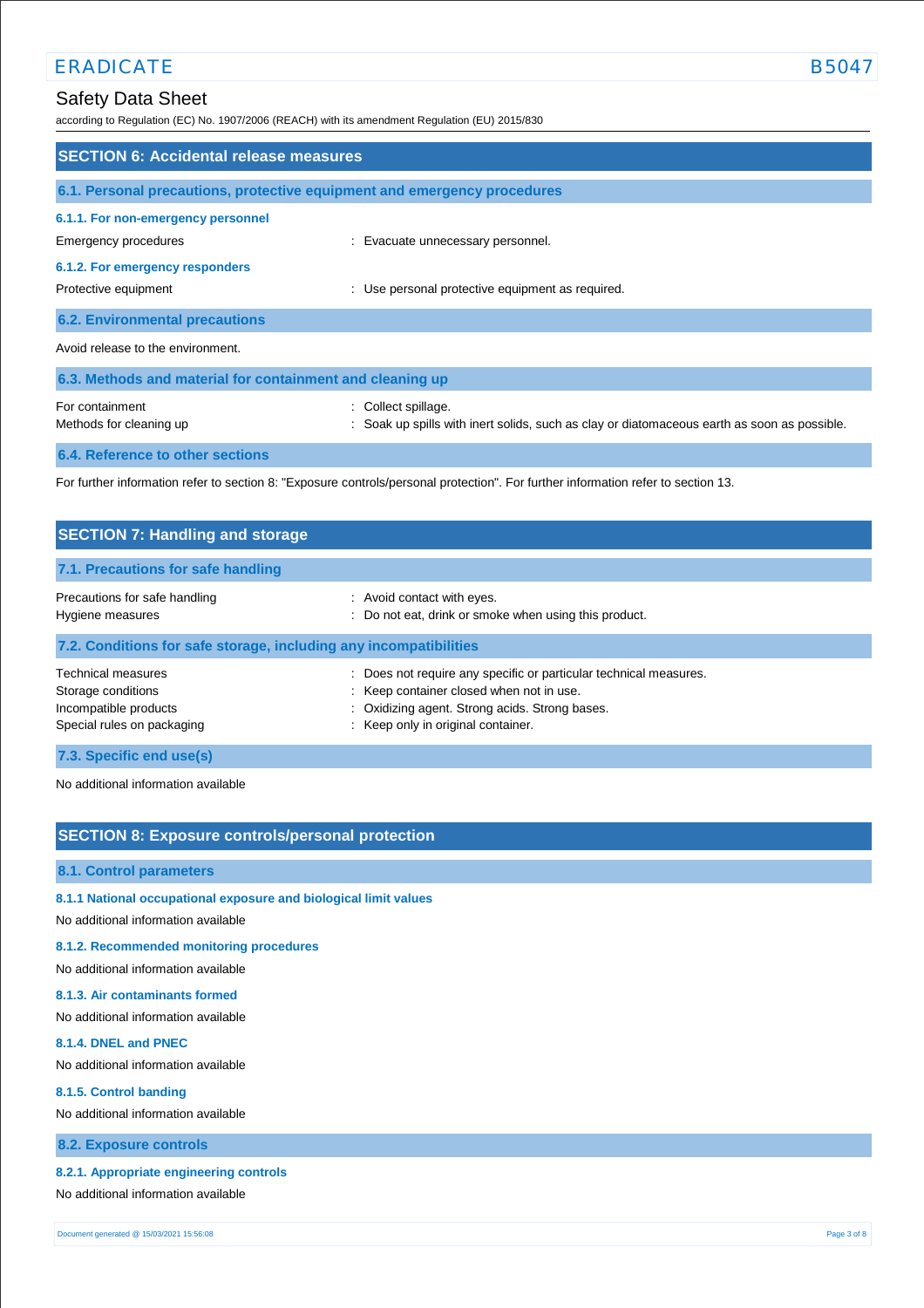## Safety Data Sheet

according to Regulation (EC) No. 1907/2006 (REACH) with its amendment Regulation (EU) 2015/830

| <b>SECTION 6: Accidental release measures</b>             |                                                                                                                                   |
|-----------------------------------------------------------|-----------------------------------------------------------------------------------------------------------------------------------|
|                                                           | 6.1. Personal precautions, protective equipment and emergency procedures                                                          |
| 6.1.1. For non-emergency personnel                        |                                                                                                                                   |
| Emergency procedures                                      | : Evacuate unnecessary personnel.                                                                                                 |
| 6.1.2. For emergency responders                           |                                                                                                                                   |
| Protective equipment                                      | : Use personal protective equipment as required.                                                                                  |
| <b>6.2. Environmental precautions</b>                     |                                                                                                                                   |
| Avoid release to the environment.                         |                                                                                                                                   |
| 6.3. Methods and material for containment and cleaning up |                                                                                                                                   |
| For containment<br>Methods for cleaning up                | : Collect spillage.<br>: Soak up spills with inert solids, such as clay or diatomaceous earth as soon as possible.                |
| 6.4. Reference to other sections                          |                                                                                                                                   |
|                                                           | For further information refer to section 8: "Exposure controls/personal protection". For further information refer to section 13. |

| <b>SECTION 7: Handling and storage</b>                                                          |                                                                                                                                                                                                     |
|-------------------------------------------------------------------------------------------------|-----------------------------------------------------------------------------------------------------------------------------------------------------------------------------------------------------|
| 7.1. Precautions for safe handling                                                              |                                                                                                                                                                                                     |
| Precautions for safe handling<br>Hygiene measures                                               | : Avoid contact with eyes.<br>: Do not eat, drink or smoke when using this product.                                                                                                                 |
| 7.2. Conditions for safe storage, including any incompatibilities                               |                                                                                                                                                                                                     |
| Technical measures<br>Storage conditions<br>Incompatible products<br>Special rules on packaging | Does not require any specific or particular technical measures.<br>: Keep container closed when not in use.<br>: Oxidizing agent. Strong acids. Strong bases.<br>: Keep only in original container. |
| 7.3. Specific end use(s)                                                                        |                                                                                                                                                                                                     |

No additional information available

## **SECTION 8: Exposure controls/personal protection**

#### **8.1. Control parameters**

- **8.1.1 National occupational exposure and biological limit values**
- No additional information available

### **8.1.2. Recommended monitoring procedures**

No additional information available

### **8.1.3. Air contaminants formed**

No additional information available

#### **8.1.4. DNEL and PNEC**

No additional information available

#### **8.1.5. Control banding**

No additional information available

### **8.2. Exposure controls**

### **8.2.1. Appropriate engineering controls**

No additional information available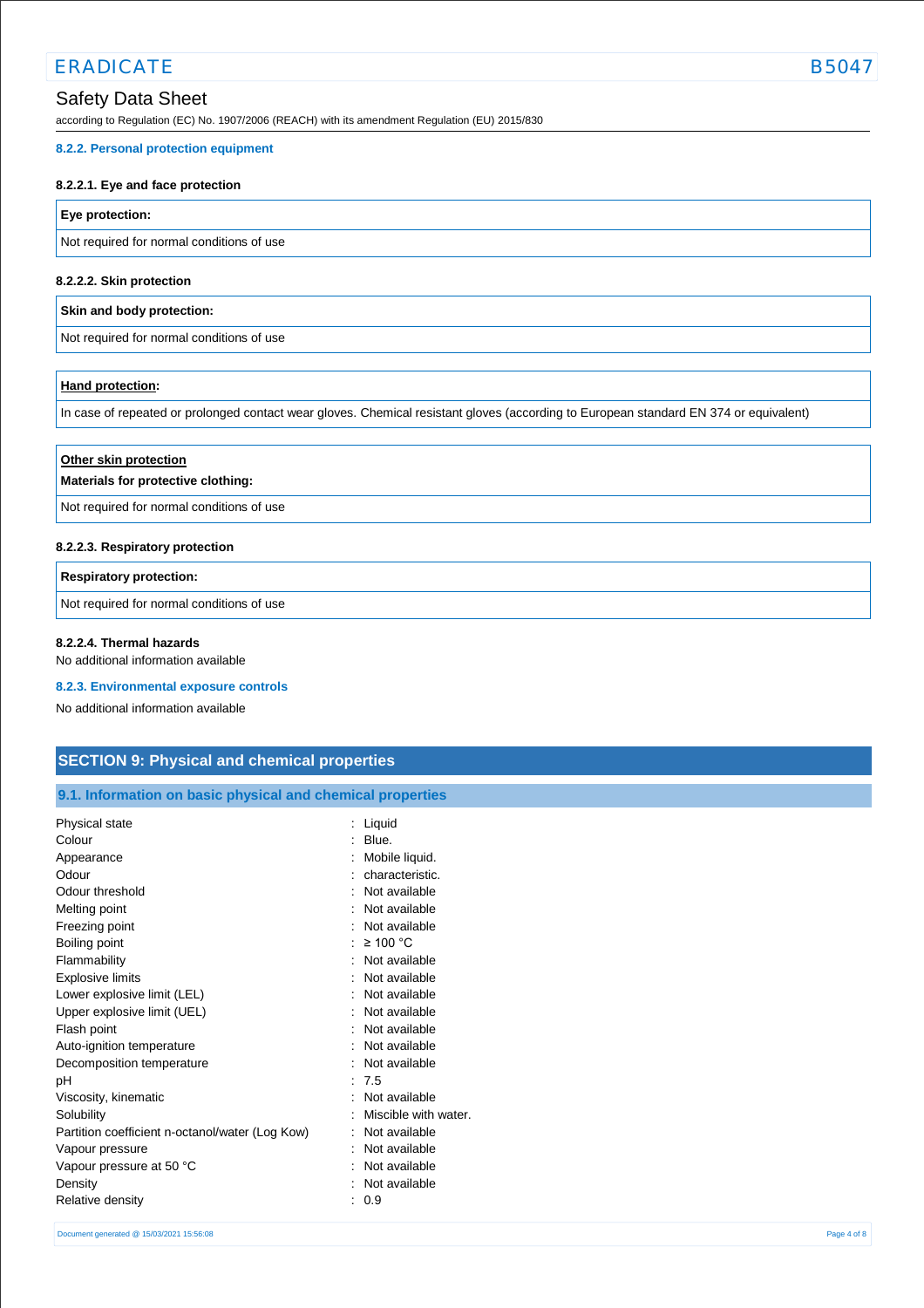## ERADICATE B504

# Safety Data Sheet

according to Regulation (EC) No. 1907/2006 (REACH) with its amendment Regulation (EU) 2015/830

### **8.2.2. Personal protection equipment**

### **8.2.2.1. Eye and face protection**

## **Eye protection:**

Not required for normal conditions of use

## **8.2.2.2. Skin protection**

### **Skin and body protection:**

Not required for normal conditions of use

## **Hand protection:**

In case of repeated or prolonged contact wear gloves. Chemical resistant gloves (according to European standard EN 374 or equivalent)

| Other skin protection<br>Materials for protective clothing: |  |
|-------------------------------------------------------------|--|
| Not required for normal conditions of use                   |  |

### **8.2.2.3. Respiratory protection**

### **Respiratory protection:**

Not required for normal conditions of use

### **8.2.2.4. Thermal hazards**

No additional information available

### **8.2.3. Environmental exposure controls**

No additional information available

## **SECTION 9: Physical and chemical properties**

## **9.1. Information on basic physical and chemical properties**

| Physical state                                  | Liquid               |
|-------------------------------------------------|----------------------|
| Colour                                          | Blue.                |
| Appearance                                      | Mobile liquid.       |
| Odour                                           | characteristic.      |
| Odour threshold                                 | Not available        |
| Melting point                                   | Not available        |
| Freezing point                                  | Not available        |
| Boiling point                                   | $\geq 100$ °C        |
| Flammability                                    | Not available        |
| <b>Explosive limits</b>                         | Not available        |
| Lower explosive limit (LEL)                     | Not available        |
| Upper explosive limit (UEL)                     | Not available        |
| Flash point                                     | Not available        |
| Auto-ignition temperature                       | Not available        |
| Decomposition temperature                       | Not available        |
| рH                                              | :7.5                 |
| Viscosity, kinematic                            | Not available        |
| Solubility                                      | Miscible with water. |
| Partition coefficient n-octanol/water (Log Kow) | Not available        |
| Vapour pressure                                 | Not available        |
| Vapour pressure at 50 °C                        | Not available        |
| Density                                         | Not available        |
| <b>Relative density</b>                         | 0.9                  |
|                                                 |                      |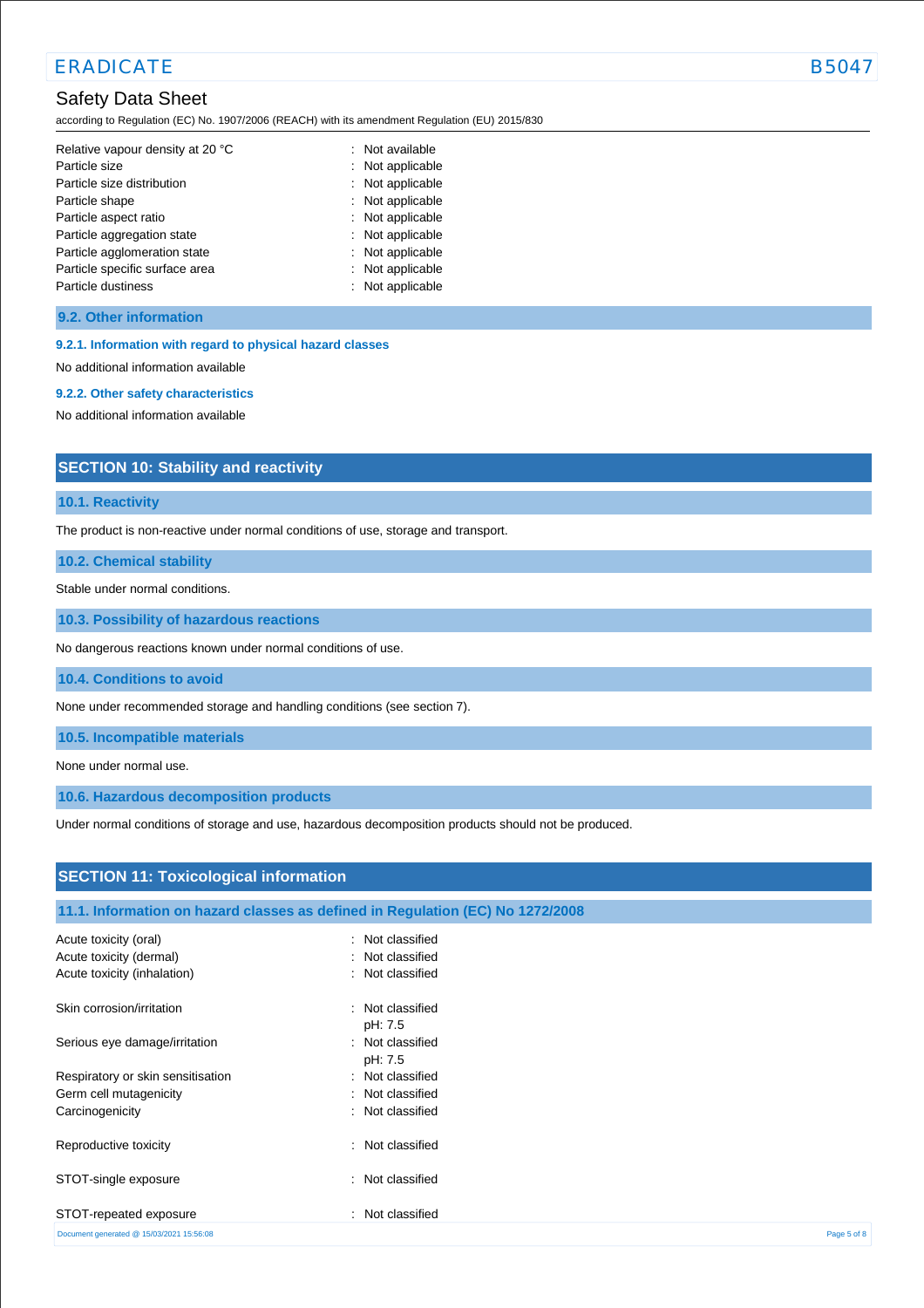## ERADICATE SERVICE SERVICE SERVICE SERVICE SERVICE SERVICE SERVICE SERVICE SERVICE SERVICE SERVICE SERVICE SERVICE SERVICE SERVICE SERVICE SERVICE SERVICE SERVICE SERVICE SERVICE SERVICE SERVICE SERVICE SERVICE SERVICE SERV

## Safety Data Sheet

according to Regulation (EC) No. 1907/2006 (REACH) with its amendment Regulation (EU) 2015/830

| Relative vapour density at 20 °C | : Not available  |
|----------------------------------|------------------|
| Particle size                    | : Not applicable |
| Particle size distribution       | : Not applicable |
| Particle shape                   | : Not applicable |
| Particle aspect ratio            | : Not applicable |
| Particle aggregation state       | : Not applicable |
| Particle agglomeration state     | : Not applicable |
| Particle specific surface area   | : Not applicable |
| Particle dustiness               | : Not applicable |

#### **9.2. Other information**

**9.2.1. Information with regard to physical hazard classes** 

No additional information available

#### **9.2.2. Other safety characteristics**

No additional information available

## **SECTION 10: Stability and reactivity**

### **10.1. Reactivity**

The product is non-reactive under normal conditions of use, storage and transport.

**10.2. Chemical stability**

Stable under normal conditions.

**10.3. Possibility of hazardous reactions**

No dangerous reactions known under normal conditions of use.

**10.4. Conditions to avoid**

None under recommended storage and handling conditions (see section 7).

**10.5. Incompatible materials**

None under normal use.

**10.6. Hazardous decomposition products**

Under normal conditions of storage and use, hazardous decomposition products should not be produced.

| <b>SECTION 11: Toxicological information</b> |                                                                                |             |
|----------------------------------------------|--------------------------------------------------------------------------------|-------------|
|                                              | 11.1. Information on hazard classes as defined in Regulation (EC) No 1272/2008 |             |
| Acute toxicity (oral)                        | : Not classified                                                               |             |
| Acute toxicity (dermal)                      | : Not classified                                                               |             |
| Acute toxicity (inhalation)                  | : Not classified                                                               |             |
| Skin corrosion/irritation                    | : Not classified<br>pH: 7.5                                                    |             |
| Serious eye damage/irritation                | : Not classified<br>pH: 7.5                                                    |             |
| Respiratory or skin sensitisation            | : Not classified                                                               |             |
| Germ cell mutagenicity                       | : Not classified                                                               |             |
| Carcinogenicity                              | : Not classified                                                               |             |
| Reproductive toxicity                        | : Not classified                                                               |             |
| STOT-single exposure                         | : Not classified                                                               |             |
| STOT-repeated exposure                       | : Not classified                                                               |             |
| Document generated @ 15/03/2021 15:56:08     |                                                                                | Page 5 of 8 |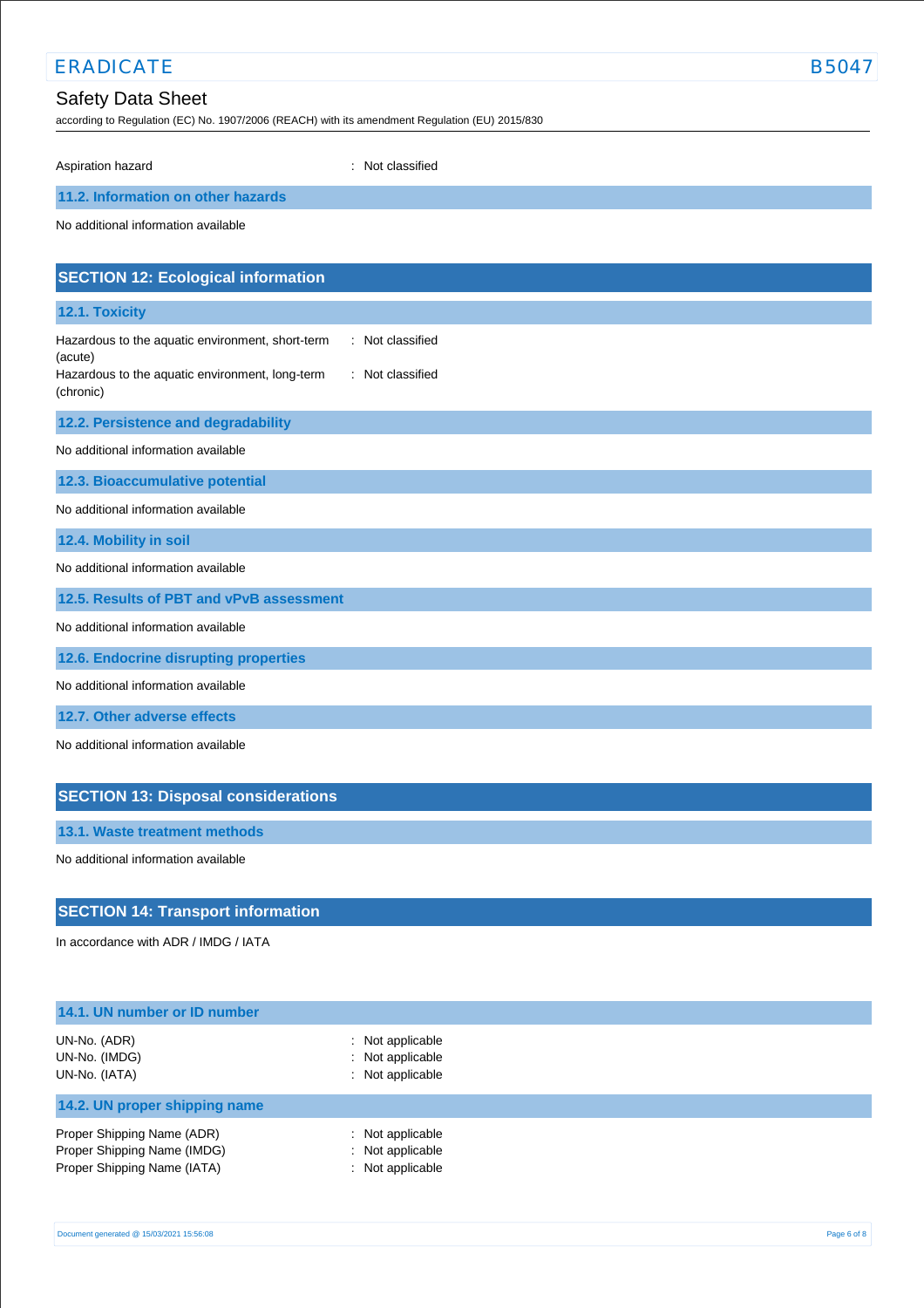# ERADICATE B5047

## Safety Data Sheet

according to Regulation (EC) No. 1907/2006 (REACH) with its amendment Regulation (EU) 2015/830

Aspiration hazard **in the set of the set of the set of the set of the set of the set of the set of the set of the set of the set of the set of the set of the set of the set of the set of the set of the set of the set of th** 

## **11.2. Information on other hazards**

No additional information available

| <b>SECTION 12: Ecological information</b>                                        |
|----------------------------------------------------------------------------------|
| 12.1. Toxicity                                                                   |
| : Not classified<br>Hazardous to the aquatic environment, short-term<br>(acute)  |
| Hazardous to the aquatic environment, long-term<br>: Not classified<br>(chronic) |
| 12.2. Persistence and degradability                                              |
| No additional information available                                              |
| 12.3. Bioaccumulative potential                                                  |
| No additional information available                                              |
| 12.4. Mobility in soil                                                           |
| No additional information available                                              |
| 12.5. Results of PBT and vPvB assessment                                         |
| No additional information available                                              |
| 12.6. Endocrine disrupting properties                                            |
| No additional information available                                              |
| 12.7. Other adverse effects                                                      |
| No additional information available                                              |

## **SECTION 13: Disposal considerations**

**13.1. Waste treatment methods**

No additional information available

## **SECTION 14: Transport information**

In accordance with ADR / IMDG / IATA

| 14.1. UN number or ID number                                                             |                                                                       |  |
|------------------------------------------------------------------------------------------|-----------------------------------------------------------------------|--|
| UN-No. (ADR)<br>UN-No. (IMDG)<br>UN-No. (IATA)                                           | $\therefore$ Not applicable<br>: Not applicable<br>$:$ Not applicable |  |
| 14.2. UN proper shipping name                                                            |                                                                       |  |
| Proper Shipping Name (ADR)<br>Proper Shipping Name (IMDG)<br>Proper Shipping Name (IATA) | $\therefore$ Not applicable<br>: Not applicable<br>: Not applicable   |  |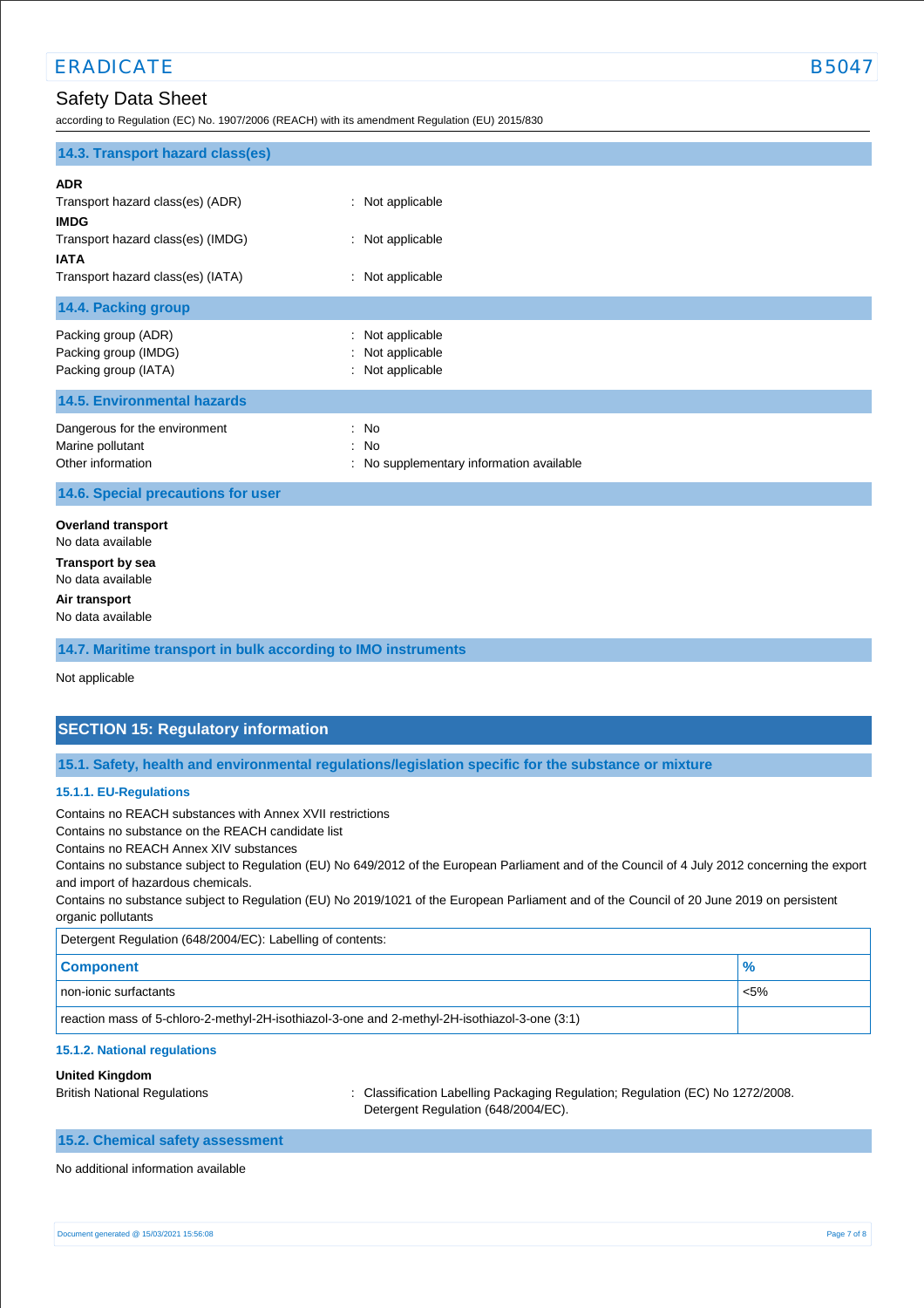according to Regulation (EC) No. 1907/2006 (REACH) with its amendment Regulation (EU) 2015/830

|  |  | B5C |
|--|--|-----|
|  |  |     |
|  |  |     |
|  |  |     |
|  |  |     |
|  |  |     |
|  |  |     |
|  |  |     |
|  |  |     |
|  |  |     |

| 14.3. Transport hazard class(es)                                                                                                                       |                                                          |  |
|--------------------------------------------------------------------------------------------------------------------------------------------------------|----------------------------------------------------------|--|
| <b>ADR</b><br>Transport hazard class(es) (ADR)<br><b>IMDG</b><br>Transport hazard class(es) (IMDG)<br><b>IATA</b><br>Transport hazard class(es) (IATA) | : Not applicable<br>: Not applicable<br>: Not applicable |  |
| 14.4. Packing group                                                                                                                                    |                                                          |  |
| Packing group (ADR)<br>Packing group (IMDG)<br>Packing group (IATA)                                                                                    | : Not applicable<br>Not applicable<br>: Not applicable   |  |
| <b>14.5. Environmental hazards</b>                                                                                                                     |                                                          |  |
| Dangerous for the environment<br>Marine pollutant<br>Other information                                                                                 | : No<br>: No<br>: No supplementary information available |  |
| 14.6. Special precautions for user                                                                                                                     |                                                          |  |
| <b>Overland transport</b><br>No data available<br><b>Transport by sea</b><br>No data available<br>Air transport<br>No data available                   |                                                          |  |
| 14.7. Maritime transport in bulk according to IMO instruments                                                                                          |                                                          |  |
| Not applicable                                                                                                                                         |                                                          |  |

## **SECTION 15: Regulatory information**

**15.1. Safety, health and environmental regulations/legislation specific for the substance or mixture**

#### **15.1.1. EU-Regulations**

Contains no REACH substances with Annex XVII restrictions

Contains no substance on the REACH candidate list

Contains no REACH Annex XIV substances

Contains no substance subject to Regulation (EU) No 649/2012 of the European Parliament and of the Council of 4 July 2012 concerning the export and import of hazardous chemicals.

Contains no substance subject to Regulation (EU) No 2019/1021 of the European Parliament and of the Council of 20 June 2019 on persistent organic pollutants

Detergent Regulation (648/2004/EC): Labelling of contents:

| . .<br>. .                                                                                    |         |  |
|-----------------------------------------------------------------------------------------------|---------|--|
| <b>Component</b>                                                                              | $\%$    |  |
| non-ionic surfactants                                                                         | $< 5\%$ |  |
| reaction mass of 5-chloro-2-methyl-2H-isothiazol-3-one and 2-methyl-2H-isothiazol-3-one (3:1) |         |  |

#### **15.1.2. National regulations**

#### **United Kingdom**

British National Regulations : Classification Labelling Packaging Regulation; Regulation (EC) No 1272/2008. Detergent Regulation (648/2004/EC).

#### **15.2. Chemical safety assessment**

No additional information available